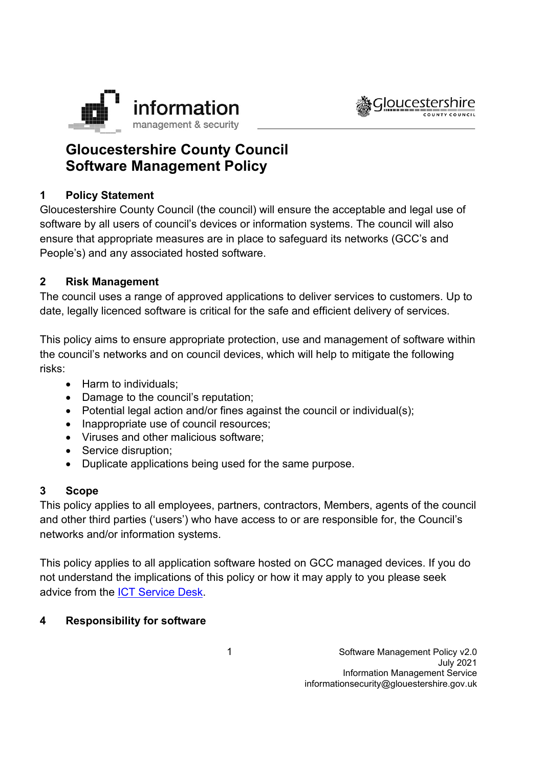



# **Gloucestershire County Council Software Management Policy**

### **1 Policy Statement**

Gloucestershire County Council (the council) will ensure the acceptable and legal use of software by all users of council's devices or information systems. The council will also ensure that appropriate measures are in place to safeguard its networks (GCC's and People's) and any associated hosted software.

#### **2 Risk Management**

The council uses a range of approved applications to deliver services to customers. Up to date, legally licenced software is critical for the safe and efficient delivery of services.

This policy aims to ensure appropriate protection, use and management of software within the council's networks and on council devices, which will help to mitigate the following risks:

- Harm to individuals;
- Damage to the council's reputation;
- Potential legal action and/or fines against the council or individual(s);
- Inappropriate use of council resources;
- Viruses and other malicious software;
- Service disruption;
- Duplicate applications being used for the same purpose.

#### **3 Scope**

This policy applies to all employees, partners, contractors, Members, agents of the council and other third parties ('users') who have access to or are responsible for, the Council's networks and/or information systems.

This policy applies to all application software hosted on GCC managed devices. If you do not understand the implications of this policy or how it may apply to you please seek advice from the [ICT Service Desk.](https://staffnet.gloucestershire.gov.uk/internal-services/the-ict-service/other-ict-services/contact-the-ict-service/)

#### **4 Responsibility for software**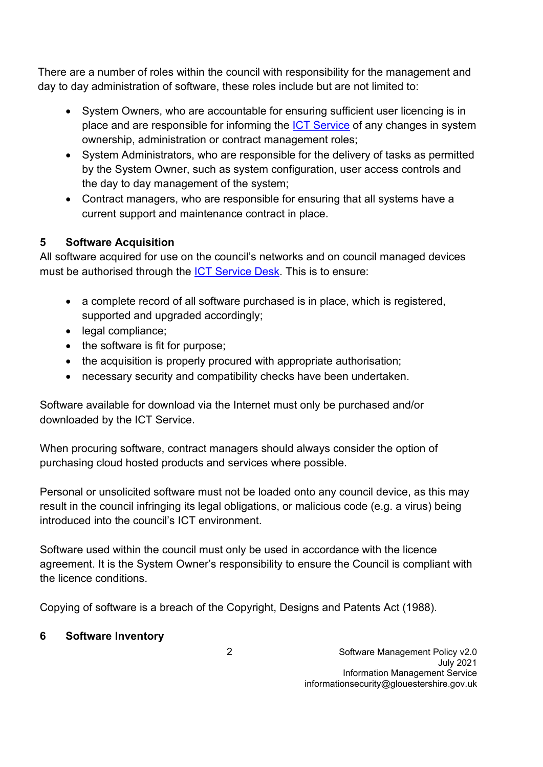There are a number of roles within the council with responsibility for the management and day to day administration of software, these roles include but are not limited to:

- System Owners, who are accountable for ensuring sufficient user licencing is in place and are responsible for informing the [ICT Service](https://staffnet.gloucestershire.gov.uk/internal-services/the-ict-service/) of any changes in system ownership, administration or contract management roles;
- System Administrators, who are responsible for the delivery of tasks as permitted by the System Owner, such as system configuration, user access controls and the day to day management of the system;
- Contract managers, who are responsible for ensuring that all systems have a current support and maintenance contract in place.

### **5 Software Acquisition**

All software acquired for use on the council's networks and on council managed devices must be authorised through the [ICT Service Desk.](https://staffnet.gloucestershire.gov.uk/internal-services/the-ict-service/other-ict-services/contact-the-ict-service/) This is to ensure:

- a complete record of all software purchased is in place, which is registered, supported and upgraded accordingly:
- legal compliance;
- the software is fit for purpose;
- the acquisition is properly procured with appropriate authorisation;
- necessary security and compatibility checks have been undertaken.

Software available for download via the Internet must only be purchased and/or downloaded by the ICT Service.

When procuring software, contract managers should always consider the option of purchasing cloud hosted products and services where possible.

Personal or unsolicited software must not be loaded onto any council device, as this may result in the council infringing its legal obligations, or malicious code (e.g. a virus) being introduced into the council's ICT environment.

Software used within the council must only be used in accordance with the licence agreement. It is the System Owner's responsibility to ensure the Council is compliant with the licence conditions.

Copying of software is a breach of the Copyright, Designs and Patents Act (1988).

# **6 Software Inventory**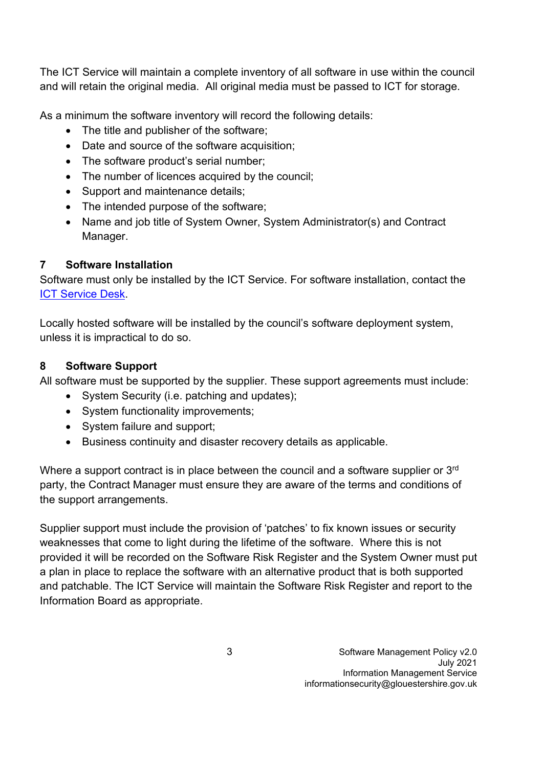The ICT Service will maintain a complete inventory of all software in use within the council and will retain the original media. All original media must be passed to ICT for storage.

As a minimum the software inventory will record the following details:

- The title and publisher of the software;
- Date and source of the software acquisition;
- The software product's serial number;
- The number of licences acquired by the council;
- Support and maintenance details;
- The intended purpose of the software;
- Name and job title of System Owner, System Administrator(s) and Contract Manager.

### **7 Software Installation**

Software must only be installed by the ICT Service. For software installation, contact the [ICT Service Desk.](https://staffnet.gloucestershire.gov.uk/internal-services/the-ict-service/other-ict-services/contact-the-ict-service/)

Locally hosted software will be installed by the council's software deployment system, unless it is impractical to do so.

### **8 Software Support**

All software must be supported by the supplier. These support agreements must include:

- System Security (i.e. patching and updates);
- System functionality improvements;
- System failure and support;
- Business continuity and disaster recovery details as applicable.

Where a support contract is in place between the council and a software supplier or 3<sup>rd</sup> party, the Contract Manager must ensure they are aware of the terms and conditions of the support arrangements.

Supplier support must include the provision of 'patches' to fix known issues or security weaknesses that come to light during the lifetime of the software. Where this is not provided it will be recorded on the Software Risk Register and the System Owner must put a plan in place to replace the software with an alternative product that is both supported and patchable. The ICT Service will maintain the Software Risk Register and report to the Information Board as appropriate.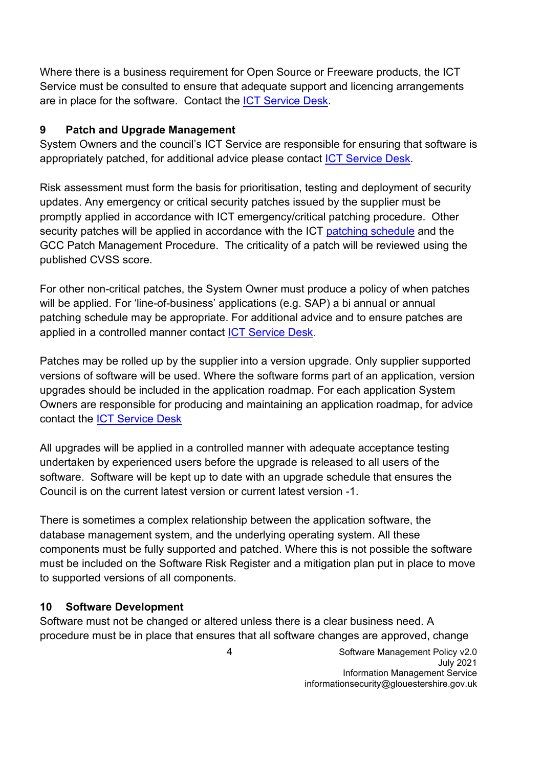Where there is a business requirement for Open Source or Freeware products, the ICT Service must be consulted to ensure that adequate support and licencing arrangements are in place for the software. Contact the [ICT Service Desk.](https://staffnet.gloucestershire.gov.uk/internal-services/the-ict-service/other-ict-services/contact-the-ict-service/)

### **9 Patch and Upgrade Management**

System Owners and the council's ICT Service are responsible for ensuring that software is appropriately patched, for additional advice please contact [ICT Service Desk.](https://staffnet.gloucestershire.gov.uk/internal-services/the-ict-service/other-ict-services/contact-the-ict-service/)

Risk assessment must form the basis for prioritisation, testing and deployment of security updates. Any emergency or critical security patches issued by the supplier must be promptly applied in accordance with ICT emergency/critical patching procedure. Other security patches will be applied in accordance with the ICT [patching schedule](https://staffnet.gloucestershire.gov.uk/internal-services/the-ict-service/other-ict-services/ict-service-status/planned-outages-and-changes/monthly-windows-security-updates-when-and-why/#main) and the GCC Patch Management Procedure. The criticality of a patch will be reviewed using the published CVSS score.

For other non-critical patches, the System Owner must produce a policy of when patches will be applied. For 'line-of-business' applications (e.g. SAP) a bi annual or annual patching schedule may be appropriate. For additional advice and to ensure patches are applied in a controlled manner contact [ICT Service Desk.](https://staffnet.gloucestershire.gov.uk/internal-services/the-ict-service/other-ict-services/contact-the-ict-service/)

Patches may be rolled up by the supplier into a version upgrade. Only supplier supported versions of software will be used. Where the software forms part of an application, version upgrades should be included in the application roadmap. For each application System Owners are responsible for producing and maintaining an application roadmap, for advice contact the [ICT Service Desk](https://staffnet.gloucestershire.gov.uk/internal-services/the-ict-service/other-ict-services/contact-the-ict-service/)

All upgrades will be applied in a controlled manner with adequate acceptance testing undertaken by experienced users before the upgrade is released to all users of the software. Software will be kept up to date with an upgrade schedule that ensures the Council is on the current latest version or current latest version -1.

There is sometimes a complex relationship between the application software, the database management system, and the underlying operating system. All these components must be fully supported and patched. Where this is not possible the software must be included on the Software Risk Register and a mitigation plan put in place to move to supported versions of all components.

# **10 Software Development**

Software must not be changed or altered unless there is a clear business need. A procedure must be in place that ensures that all software changes are approved, change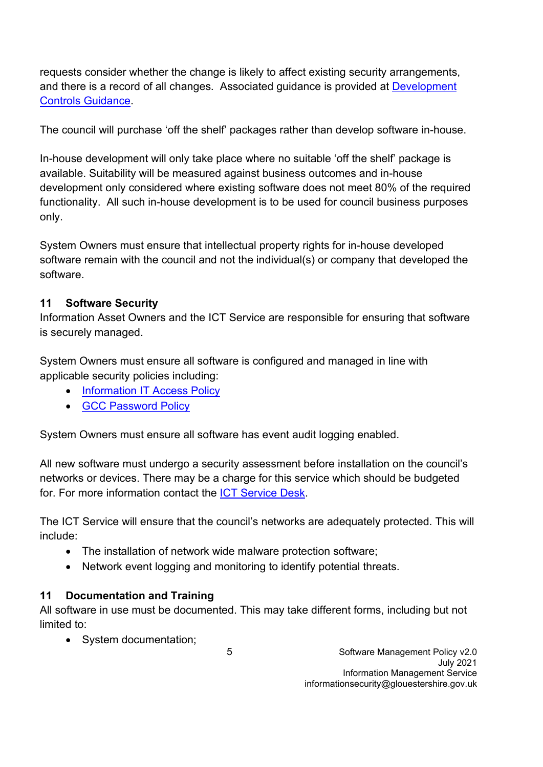requests consider whether the change is likely to affect existing security arrangements, and there is a record of all changes. Associated guidance is provided at Development Controls Guidance.

The council will purchase 'off the shelf' packages rather than develop software in-house.

In-house development will only take place where no suitable 'off the shelf' package is available. Suitability will be measured against business outcomes and in-house development only considered where existing software does not meet 80% of the required functionality. All such in-house development is to be used for council business purposes only.

System Owners must ensure that intellectual property rights for in-house developed software remain with the council and not the individual(s) or company that developed the software.

# **11 Software Security**

Information Asset Owners and the ICT Service are responsible for ensuring that software is securely managed.

System Owners must ensure all software is configured and managed in line with applicable security policies including:

- Information IT Access Policy
- GCC Password Policy

System Owners must ensure all software has event audit logging enabled.

All new software must undergo a security assessment before installation on the council's networks or devices. There may be a charge for this service which should be budgeted for. For more information contact the ICT Service Desk.

The ICT Service will ensure that the council's networks are adequately protected. This will include:

- The installation of network wide malware protection software;
- Network event logging and monitoring to identify potential threats.

# **11 Documentation and Training**

All software in use must be documented. This may take different forms, including but not limited to:

• System documentation;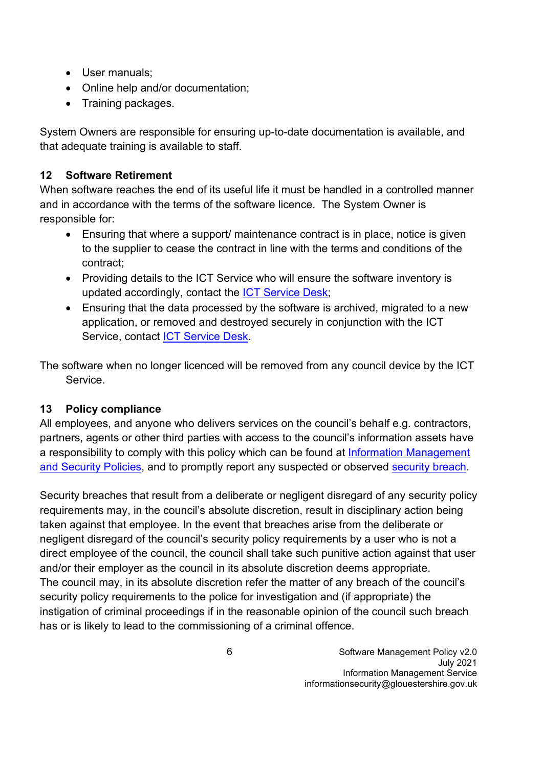- User manuals;
- Online help and/or documentation:
- Training packages.

System Owners are responsible for ensuring up-to-date documentation is available, and that adequate training is available to staff.

# **12 Software Retirement**

When software reaches the end of its useful life it must be handled in a controlled manner and in accordance with the terms of the software licence. The System Owner is responsible for:

- Ensuring that where a support/ maintenance contract is in place, notice is given to the supplier to cease the contract in line with the terms and conditions of the contract;
- Providing details to the ICT Service who will ensure the software inventory is updated accordingly, contact the ICT Service Desk;
- Ensuring that the data processed by the software is archived, migrated to a new application, or removed and destroyed securely in conjunction with the ICT Service, contact ICT Service Desk.

The software when no longer licenced will be removed from any council device by the ICT Service.

# **13 Policy compliance**

All employees, and anyone who delivers services on the council's behalf e.g. contractors, partners, agents or other third parties with access to the council's information assets have a responsibility to comply with this policy which can be found at Information Management and Security Policies, and to promptly report any suspected or observed security breach.

Security breaches that result from a deliberate or negligent disregard of any security policy requirements may, in the council's absolute discretion, result in disciplinary action being taken against that employee. In the event that breaches arise from the deliberate or negligent disregard of the council's security policy requirements by a user who is not a direct employee of the council, the council shall take such punitive action against that user and/or their employer as the council in its absolute discretion deems appropriate. The council may, in its absolute discretion refer the matter of any breach of the council's security policy requirements to the police for investigation and (if appropriate) the instigation of criminal proceedings if in the reasonable opinion of the council such breach has or is likely to lead to the commissioning of a criminal offence.